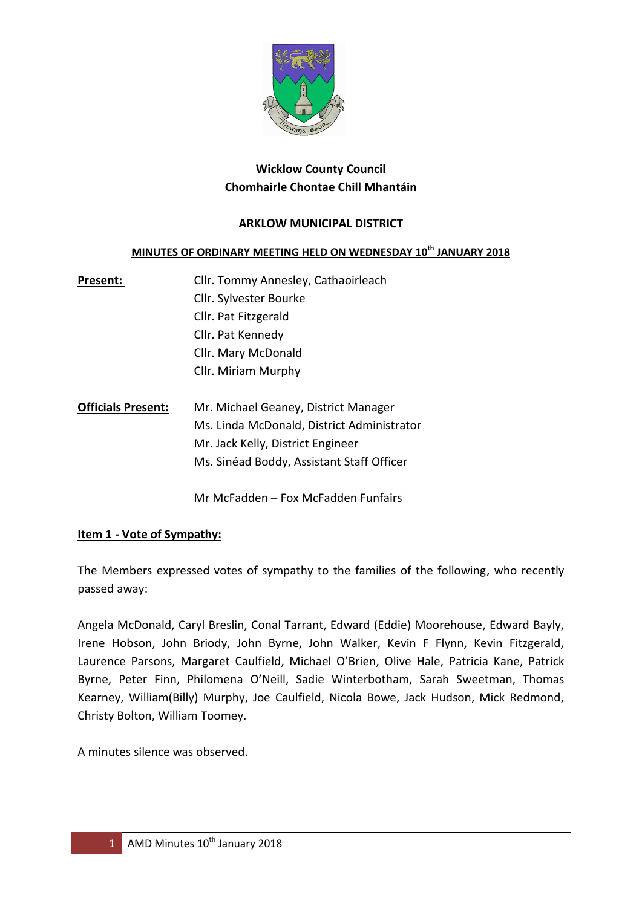

### **Wicklow County Council Chomhairle Chontae Chill Mhantáin**

### **ARKLOW MUNICIPAL DISTRICT**

#### **MINUTES OF ORDINARY MEETING HELD ON WEDNESDAY 10th JANUARY 2018**

- Present: Cllr. Tommy Annesley, Cathaoirleach Cllr. Sylvester Bourke Cllr. Pat Fitzgerald Cllr. Pat Kennedy Cllr. Mary McDonald Cllr. Miriam Murphy
- **Officials Present:** Mr. Michael Geaney, District Manager Ms. Linda McDonald, District Administrator Mr. Jack Kelly, District Engineer Ms. Sinéad Boddy, Assistant Staff Officer

Mr McFadden – Fox McFadden Funfairs

#### **Item 1 - Vote of Sympathy:**

The Members expressed votes of sympathy to the families of the following, who recently passed away:

Angela McDonald, Caryl Breslin, Conal Tarrant, Edward (Eddie) Moorehouse, Edward Bayly, Irene Hobson, John Briody, John Byrne, John Walker, Kevin F Flynn, Kevin Fitzgerald, Laurence Parsons, Margaret Caulfield, Michael O'Brien, Olive Hale, Patricia Kane, Patrick Byrne, Peter Finn, Philomena O'Neill, Sadie Winterbotham, Sarah Sweetman, Thomas Kearney, William(Billy) Murphy, Joe Caulfield, Nicola Bowe, Jack Hudson, Mick Redmond, Christy Bolton, William Toomey.

A minutes silence was observed.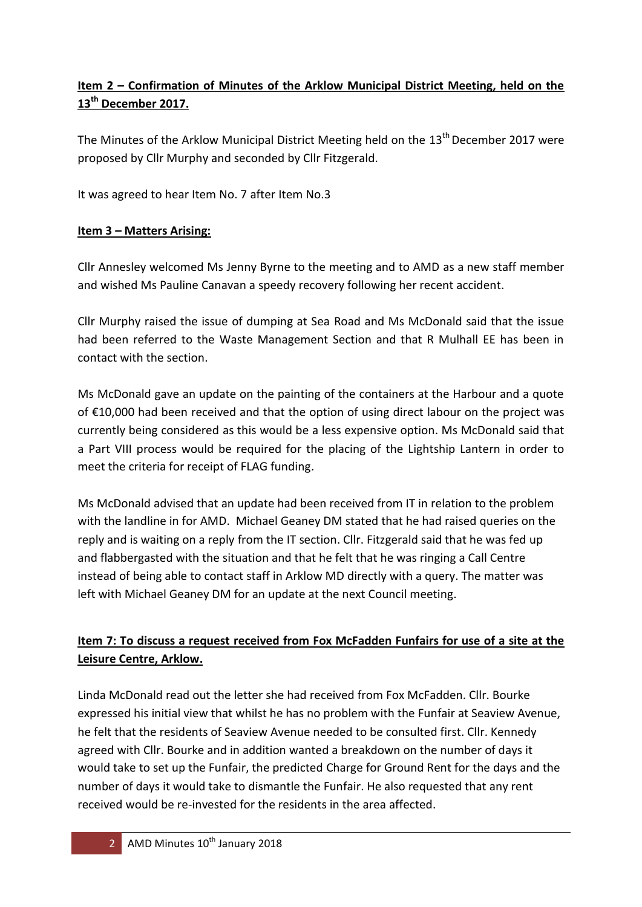# **Item 2 – Confirmation of Minutes of the Arklow Municipal District Meeting, held on the 13th December 2017.**

The Minutes of the Arklow Municipal District Meeting held on the  $13<sup>th</sup>$  December 2017 were proposed by Cllr Murphy and seconded by Cllr Fitzgerald.

It was agreed to hear Item No. 7 after Item No.3

### **Item 3 – Matters Arising:**

Cllr Annesley welcomed Ms Jenny Byrne to the meeting and to AMD as a new staff member and wished Ms Pauline Canavan a speedy recovery following her recent accident.

Cllr Murphy raised the issue of dumping at Sea Road and Ms McDonald said that the issue had been referred to the Waste Management Section and that R Mulhall EE has been in contact with the section.

Ms McDonald gave an update on the painting of the containers at the Harbour and a quote of €10,000 had been received and that the option of using direct labour on the project was currently being considered as this would be a less expensive option. Ms McDonald said that a Part VIII process would be required for the placing of the Lightship Lantern in order to meet the criteria for receipt of FLAG funding.

Ms McDonald advised that an update had been received from IT in relation to the problem with the landline in for AMD. Michael Geaney DM stated that he had raised queries on the reply and is waiting on a reply from the IT section. Cllr. Fitzgerald said that he was fed up and flabbergasted with the situation and that he felt that he was ringing a Call Centre instead of being able to contact staff in Arklow MD directly with a query. The matter was left with Michael Geaney DM for an update at the next Council meeting.

## **Item 7: To discuss a request received from Fox McFadden Funfairs for use of a site at the Leisure Centre, Arklow.**

Linda McDonald read out the letter she had received from Fox McFadden. Cllr. Bourke expressed his initial view that whilst he has no problem with the Funfair at Seaview Avenue, he felt that the residents of Seaview Avenue needed to be consulted first. Cllr. Kennedy agreed with Cllr. Bourke and in addition wanted a breakdown on the number of days it would take to set up the Funfair, the predicted Charge for Ground Rent for the days and the number of days it would take to dismantle the Funfair. He also requested that any rent received would be re-invested for the residents in the area affected.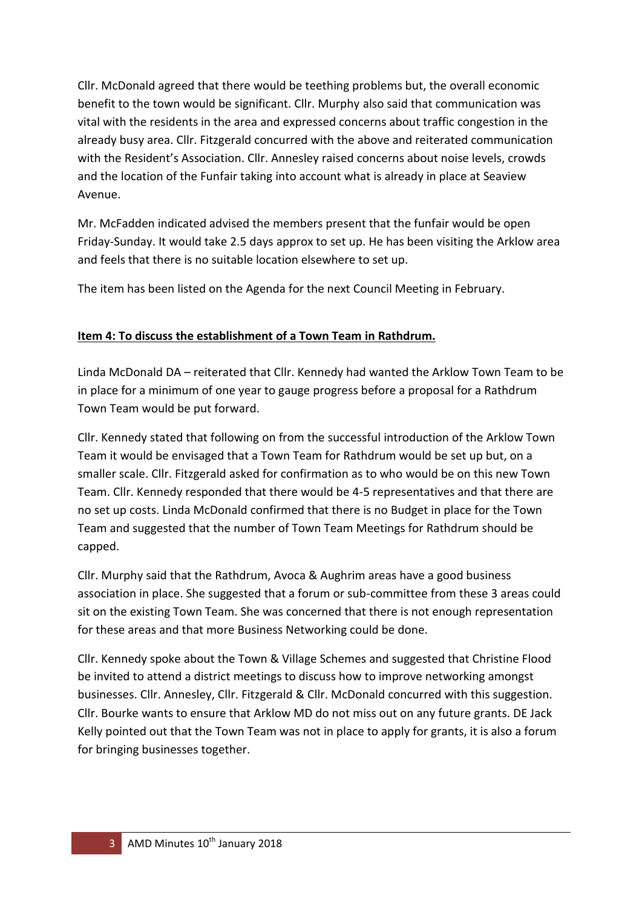Cllr. McDonald agreed that there would be teething problems but, the overall economic benefit to the town would be significant. Cllr. Murphy also said that communication was vital with the residents in the area and expressed concerns about traffic congestion in the already busy area. Cllr. Fitzgerald concurred with the above and reiterated communication with the Resident's Association. Cllr. Annesley raised concerns about noise levels, crowds and the location of the Funfair taking into account what is already in place at Seaview Avenue.

Mr. McFadden indicated advised the members present that the funfair would be open Friday-Sunday. It would take 2.5 days approx to set up. He has been visiting the Arklow area and feels that there is no suitable location elsewhere to set up.

The item has been listed on the Agenda for the next Council Meeting in February.

### **Item 4: To discuss the establishment of a Town Team in Rathdrum.**

Linda McDonald DA – reiterated that Cllr. Kennedy had wanted the Arklow Town Team to be in place for a minimum of one year to gauge progress before a proposal for a Rathdrum Town Team would be put forward.

Cllr. Kennedy stated that following on from the successful introduction of the Arklow Town Team it would be envisaged that a Town Team for Rathdrum would be set up but, on a smaller scale. Cllr. Fitzgerald asked for confirmation as to who would be on this new Town Team. Cllr. Kennedy responded that there would be 4-5 representatives and that there are no set up costs. Linda McDonald confirmed that there is no Budget in place for the Town Team and suggested that the number of Town Team Meetings for Rathdrum should be capped.

Cllr. Murphy said that the Rathdrum, Avoca & Aughrim areas have a good business association in place. She suggested that a forum or sub-committee from these 3 areas could sit on the existing Town Team. She was concerned that there is not enough representation for these areas and that more Business Networking could be done.

Cllr. Kennedy spoke about the Town & Village Schemes and suggested that Christine Flood be invited to attend a district meetings to discuss how to improve networking amongst businesses. Cllr. Annesley, Cllr. Fitzgerald & Cllr. McDonald concurred with this suggestion. Cllr. Bourke wants to ensure that Arklow MD do not miss out on any future grants. DE Jack Kelly pointed out that the Town Team was not in place to apply for grants, it is also a forum for bringing businesses together.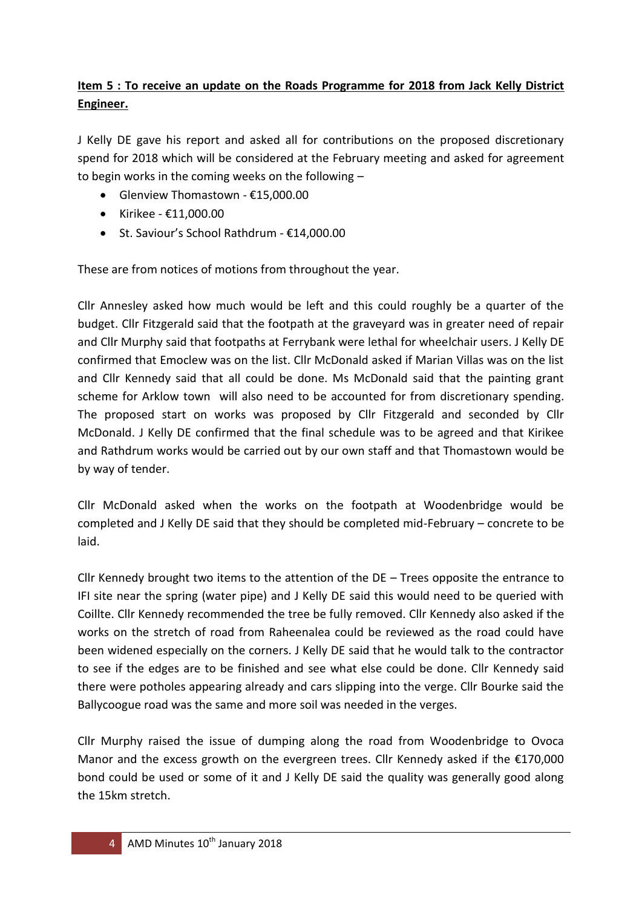## **Item 5 : To receive an update on the Roads Programme for 2018 from Jack Kelly District Engineer.**

J Kelly DE gave his report and asked all for contributions on the proposed discretionary spend for 2018 which will be considered at the February meeting and asked for agreement to begin works in the coming weeks on the following –

- Glenview Thomastown €15,000.00
- $\bullet$  Kirikee €11,000.00
- St. Saviour's School Rathdrum €14,000.00

These are from notices of motions from throughout the year.

Cllr Annesley asked how much would be left and this could roughly be a quarter of the budget. Cllr Fitzgerald said that the footpath at the graveyard was in greater need of repair and Cllr Murphy said that footpaths at Ferrybank were lethal for wheelchair users. J Kelly DE confirmed that Emoclew was on the list. Cllr McDonald asked if Marian Villas was on the list and Cllr Kennedy said that all could be done. Ms McDonald said that the painting grant scheme for Arklow town will also need to be accounted for from discretionary spending. The proposed start on works was proposed by Cllr Fitzgerald and seconded by Cllr McDonald. J Kelly DE confirmed that the final schedule was to be agreed and that Kirikee and Rathdrum works would be carried out by our own staff and that Thomastown would be by way of tender.

Cllr McDonald asked when the works on the footpath at Woodenbridge would be completed and J Kelly DE said that they should be completed mid-February – concrete to be laid.

Cllr Kennedy brought two items to the attention of the DE – Trees opposite the entrance to IFI site near the spring (water pipe) and J Kelly DE said this would need to be queried with Coillte. Cllr Kennedy recommended the tree be fully removed. Cllr Kennedy also asked if the works on the stretch of road from Raheenalea could be reviewed as the road could have been widened especially on the corners. J Kelly DE said that he would talk to the contractor to see if the edges are to be finished and see what else could be done. Cllr Kennedy said there were potholes appearing already and cars slipping into the verge. Cllr Bourke said the Ballycoogue road was the same and more soil was needed in the verges.

Cllr Murphy raised the issue of dumping along the road from Woodenbridge to Ovoca Manor and the excess growth on the evergreen trees. Cllr Kennedy asked if the €170,000 bond could be used or some of it and J Kelly DE said the quality was generally good along the 15km stretch.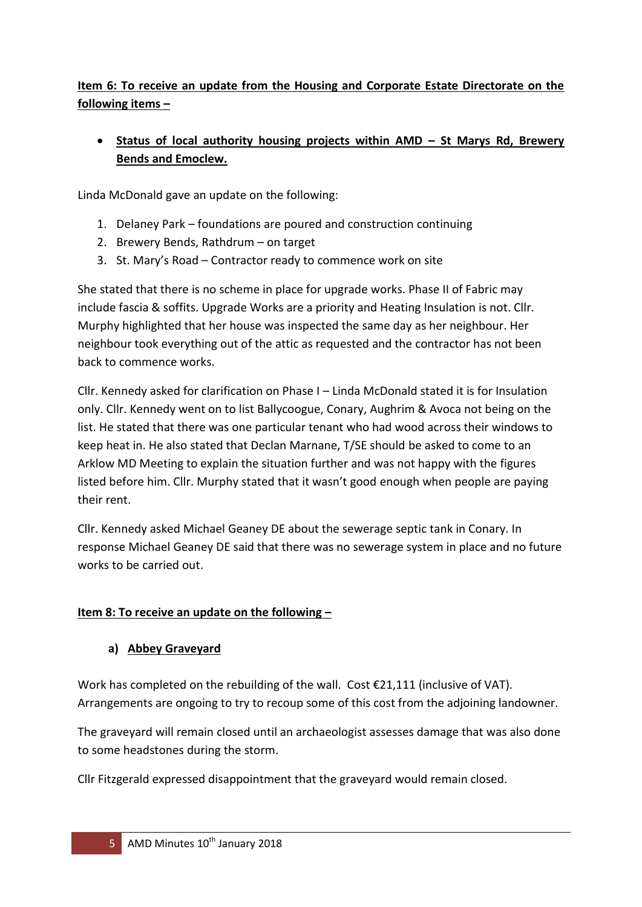## **Item 6: To receive an update from the Housing and Corporate Estate Directorate on the following items –**

## **Status of local authority housing projects within AMD – St Marys Rd, Brewery Bends and Emoclew.**

Linda McDonald gave an update on the following:

- 1. Delaney Park foundations are poured and construction continuing
- 2. Brewery Bends, Rathdrum on target
- 3. St. Mary's Road Contractor ready to commence work on site

She stated that there is no scheme in place for upgrade works. Phase II of Fabric may include fascia & soffits. Upgrade Works are a priority and Heating Insulation is not. Cllr. Murphy highlighted that her house was inspected the same day as her neighbour. Her neighbour took everything out of the attic as requested and the contractor has not been back to commence works.

Cllr. Kennedy asked for clarification on Phase I – Linda McDonald stated it is for Insulation only. Cllr. Kennedy went on to list Ballycoogue, Conary, Aughrim & Avoca not being on the list. He stated that there was one particular tenant who had wood across their windows to keep heat in. He also stated that Declan Marnane, T/SE should be asked to come to an Arklow MD Meeting to explain the situation further and was not happy with the figures listed before him. Cllr. Murphy stated that it wasn't good enough when people are paying their rent.

Cllr. Kennedy asked Michael Geaney DE about the sewerage septic tank in Conary. In response Michael Geaney DE said that there was no sewerage system in place and no future works to be carried out.

### **Item 8: To receive an update on the following –**

### **a) Abbey Graveyard**

Work has completed on the rebuilding of the wall. Cost €21,111 (inclusive of VAT). Arrangements are ongoing to try to recoup some of this cost from the adjoining landowner.

The graveyard will remain closed until an archaeologist assesses damage that was also done to some headstones during the storm.

Cllr Fitzgerald expressed disappointment that the graveyard would remain closed.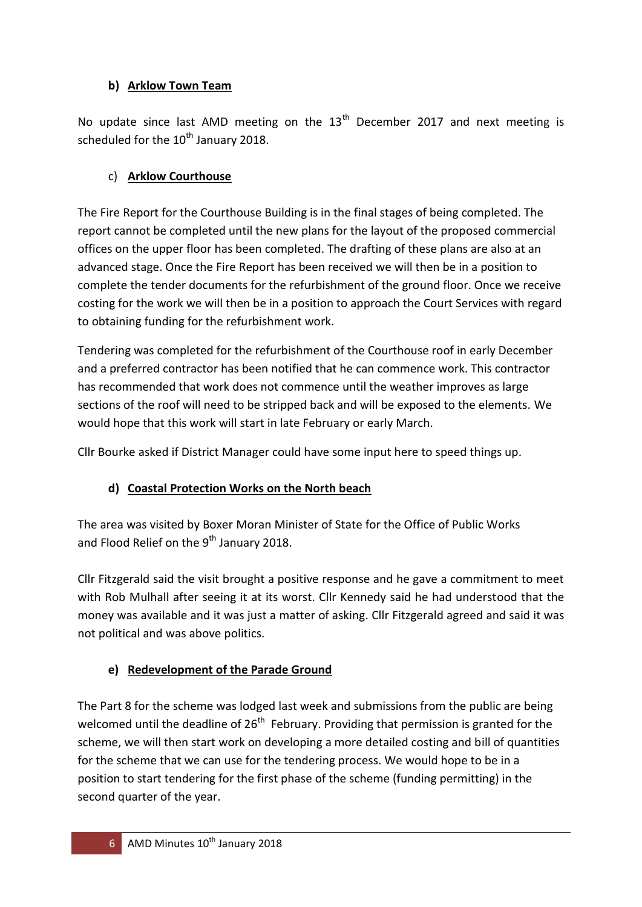## **b) Arklow Town Team**

No update since last AMD meeting on the  $13<sup>th</sup>$  December 2017 and next meeting is scheduled for the  $10^{th}$  January 2018.

## c) **Arklow Courthouse**

The Fire Report for the Courthouse Building is in the final stages of being completed. The report cannot be completed until the new plans for the layout of the proposed commercial offices on the upper floor has been completed. The drafting of these plans are also at an advanced stage. Once the Fire Report has been received we will then be in a position to complete the tender documents for the refurbishment of the ground floor. Once we receive costing for the work we will then be in a position to approach the Court Services with regard to obtaining funding for the refurbishment work.

Tendering was completed for the refurbishment of the Courthouse roof in early December and a preferred contractor has been notified that he can commence work. This contractor has recommended that work does not commence until the weather improves as large sections of the roof will need to be stripped back and will be exposed to the elements. We would hope that this work will start in late February or early March.

Cllr Bourke asked if District Manager could have some input here to speed things up.

# **d) Coastal Protection Works on the North beach**

The area was visited by Boxer Moran Minister of State for the Office of Public Works and Flood Relief on the 9<sup>th</sup> January 2018.

Cllr Fitzgerald said the visit brought a positive response and he gave a commitment to meet with Rob Mulhall after seeing it at its worst. Cllr Kennedy said he had understood that the money was available and it was just a matter of asking. Cllr Fitzgerald agreed and said it was not political and was above politics.

# **e) Redevelopment of the Parade Ground**

The Part 8 for the scheme was lodged last week and submissions from the public are being welcomed until the deadline of 26<sup>th</sup> February. Providing that permission is granted for the scheme, we will then start work on developing a more detailed costing and bill of quantities for the scheme that we can use for the tendering process. We would hope to be in a position to start tendering for the first phase of the scheme (funding permitting) in the second quarter of the year.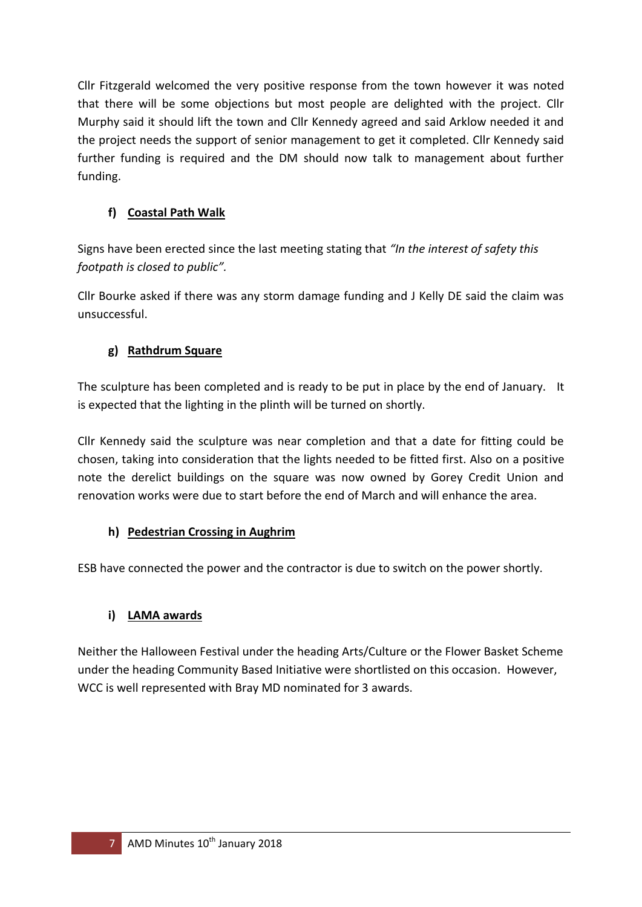Cllr Fitzgerald welcomed the very positive response from the town however it was noted that there will be some objections but most people are delighted with the project. Cllr Murphy said it should lift the town and Cllr Kennedy agreed and said Arklow needed it and the project needs the support of senior management to get it completed. Cllr Kennedy said further funding is required and the DM should now talk to management about further funding.

## **f) Coastal Path Walk**

Signs have been erected since the last meeting stating that *"In the interest of safety this footpath is closed to public".* 

Cllr Bourke asked if there was any storm damage funding and J Kelly DE said the claim was unsuccessful.

## **g) Rathdrum Square**

The sculpture has been completed and is ready to be put in place by the end of January. It is expected that the lighting in the plinth will be turned on shortly.

Cllr Kennedy said the sculpture was near completion and that a date for fitting could be chosen, taking into consideration that the lights needed to be fitted first. Also on a positive note the derelict buildings on the square was now owned by Gorey Credit Union and renovation works were due to start before the end of March and will enhance the area.

### **h) Pedestrian Crossing in Aughrim**

ESB have connected the power and the contractor is due to switch on the power shortly.

## **i) LAMA awards**

Neither the Halloween Festival under the heading Arts/Culture or the Flower Basket Scheme under the heading Community Based Initiative were shortlisted on this occasion. However, WCC is well represented with Bray MD nominated for 3 awards.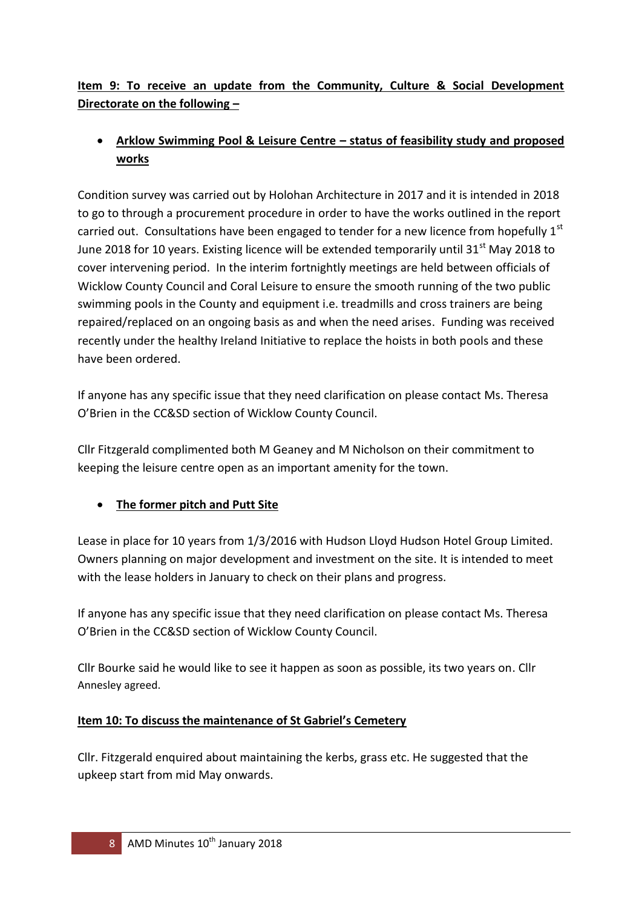# **Item 9: To receive an update from the Community, Culture & Social Development Directorate on the following –**

# **Arklow Swimming Pool & Leisure Centre – status of feasibility study and proposed works**

Condition survey was carried out by Holohan Architecture in 2017 and it is intended in 2018 to go to through a procurement procedure in order to have the works outlined in the report carried out. Consultations have been engaged to tender for a new licence from hopefully  $1<sup>st</sup>$ June 2018 for 10 years. Existing licence will be extended temporarily until 31 $^{\rm st}$  May 2018 to cover intervening period. In the interim fortnightly meetings are held between officials of Wicklow County Council and Coral Leisure to ensure the smooth running of the two public swimming pools in the County and equipment i.e. treadmills and cross trainers are being repaired/replaced on an ongoing basis as and when the need arises. Funding was received recently under the healthy Ireland Initiative to replace the hoists in both pools and these have been ordered.

If anyone has any specific issue that they need clarification on please contact Ms. Theresa O'Brien in the CC&SD section of Wicklow County Council.

Cllr Fitzgerald complimented both M Geaney and M Nicholson on their commitment to keeping the leisure centre open as an important amenity for the town.

## **The former pitch and Putt Site**

Lease in place for 10 years from 1/3/2016 with Hudson Lloyd Hudson Hotel Group Limited. Owners planning on major development and investment on the site. It is intended to meet with the lease holders in January to check on their plans and progress.

If anyone has any specific issue that they need clarification on please contact Ms. Theresa O'Brien in the CC&SD section of Wicklow County Council.

Cllr Bourke said he would like to see it happen as soon as possible, its two years on. Cllr Annesley agreed.

## **Item 10: To discuss the maintenance of St Gabriel's Cemetery**

Cllr. Fitzgerald enquired about maintaining the kerbs, grass etc. He suggested that the upkeep start from mid May onwards.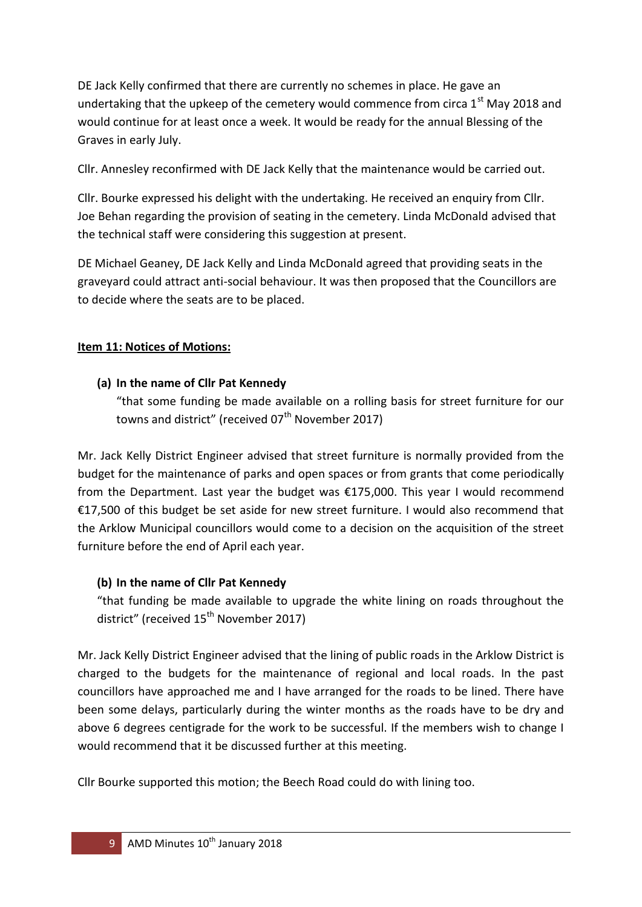DE Jack Kelly confirmed that there are currently no schemes in place. He gave an undertaking that the upkeep of the cemetery would commence from circa  $1<sup>st</sup>$  May 2018 and would continue for at least once a week. It would be ready for the annual Blessing of the Graves in early July.

Cllr. Annesley reconfirmed with DE Jack Kelly that the maintenance would be carried out.

Cllr. Bourke expressed his delight with the undertaking. He received an enquiry from Cllr. Joe Behan regarding the provision of seating in the cemetery. Linda McDonald advised that the technical staff were considering this suggestion at present.

DE Michael Geaney, DE Jack Kelly and Linda McDonald agreed that providing seats in the graveyard could attract anti-social behaviour. It was then proposed that the Councillors are to decide where the seats are to be placed.

### **Item 11: Notices of Motions:**

### **(a) In the name of Cllr Pat Kennedy**

"that some funding be made available on a rolling basis for street furniture for our towns and district" (received  $07<sup>th</sup>$  November 2017)

Mr. Jack Kelly District Engineer advised that street furniture is normally provided from the budget for the maintenance of parks and open spaces or from grants that come periodically from the Department. Last year the budget was €175,000. This year I would recommend €17,500 of this budget be set aside for new street furniture. I would also recommend that the Arklow Municipal councillors would come to a decision on the acquisition of the street furniture before the end of April each year.

### **(b) In the name of Cllr Pat Kennedy**

"that funding be made available to upgrade the white lining on roads throughout the district" (received  $15^{th}$  November 2017)

Mr. Jack Kelly District Engineer advised that the lining of public roads in the Arklow District is charged to the budgets for the maintenance of regional and local roads. In the past councillors have approached me and I have arranged for the roads to be lined. There have been some delays, particularly during the winter months as the roads have to be dry and above 6 degrees centigrade for the work to be successful. If the members wish to change I would recommend that it be discussed further at this meeting.

Cllr Bourke supported this motion; the Beech Road could do with lining too.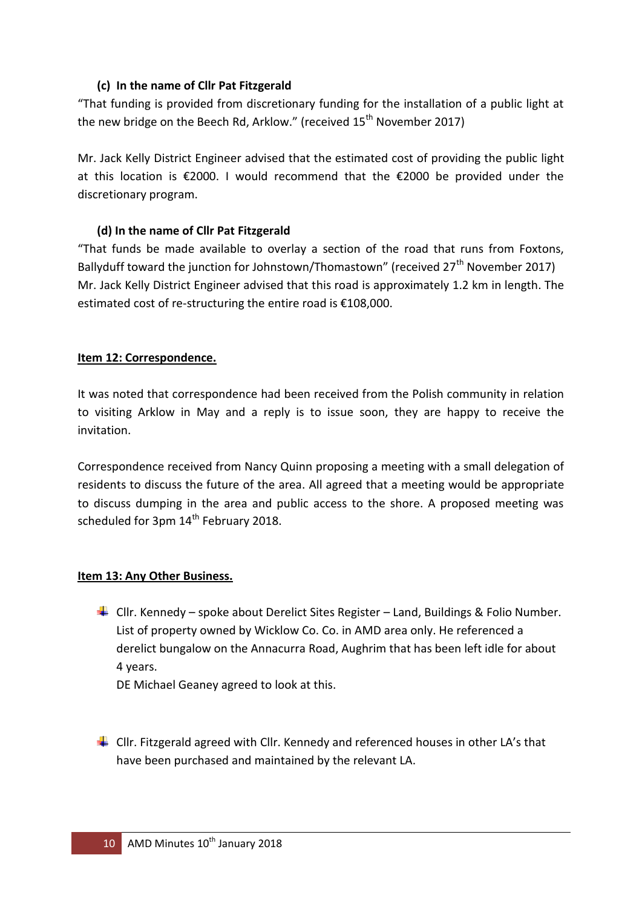### **(c) In the name of Cllr Pat Fitzgerald**

"That funding is provided from discretionary funding for the installation of a public light at the new bridge on the Beech Rd, Arklow." (received  $15<sup>th</sup>$  November 2017)

Mr. Jack Kelly District Engineer advised that the estimated cost of providing the public light at this location is €2000. I would recommend that the €2000 be provided under the discretionary program.

### **(d) In the name of Cllr Pat Fitzgerald**

"That funds be made available to overlay a section of the road that runs from Foxtons, Ballyduff toward the junction for Johnstown/Thomastown" (received  $27<sup>th</sup>$  November 2017) Mr. Jack Kelly District Engineer advised that this road is approximately 1.2 km in length. The estimated cost of re-structuring the entire road is €108,000.

### **Item 12: Correspondence.**

It was noted that correspondence had been received from the Polish community in relation to visiting Arklow in May and a reply is to issue soon, they are happy to receive the invitation.

Correspondence received from Nancy Quinn proposing a meeting with a small delegation of residents to discuss the future of the area. All agreed that a meeting would be appropriate to discuss dumping in the area and public access to the shore. A proposed meeting was scheduled for 3pm 14<sup>th</sup> February 2018.

#### **Item 13: Any Other Business.**

 $\downarrow$  Cllr. Kennedy – spoke about Derelict Sites Register – Land, Buildings & Folio Number. List of property owned by Wicklow Co. Co. in AMD area only. He referenced a derelict bungalow on the Annacurra Road, Aughrim that has been left idle for about 4 years.

DE Michael Geaney agreed to look at this.

 $\ddot{+}$  Cllr. Fitzgerald agreed with Cllr. Kennedy and referenced houses in other LA's that have been purchased and maintained by the relevant LA.